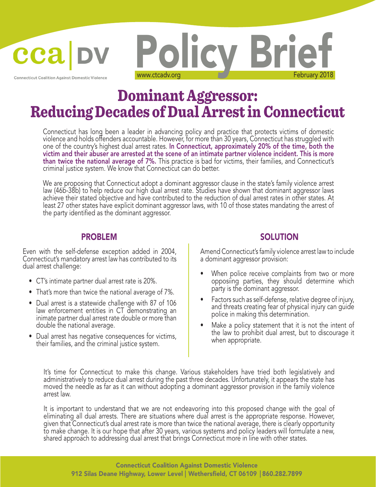**Connecticut Coalition Against Domestic Violence** 

cca

# Dominant Aggressor: Reducing Decades of Dual Arrest in Connecticut

Policy Brief

Connecticut has long been a leader in advancing policy and practice that protects victims of domestic violence and holds offenders accountable. However, for more than 30 years, Connecticut has struggled with one of the country's highest dual arrest rates. In Connecticut, approximately 20% of the time, both the victim and their abuser are arrested at the scene of an intimate partner violence incident. This is more than twice the national average of 7%. This practice is bad for victims, their families, and Connecticut's criminal justice system. We know that Connecticut can do better.

We are proposing that Connecticut adopt a dominant aggressor clause in the state's family violence arrest law (46b-38b) to help reduce our high dual arrest rate. Studies have shown that dominant aggressor laws achieve their stated objective and have contributed to the reduction of dual arrest rates in other states. At least 27 other states have explicit dominant aggressor laws, with 10 of those states mandating the arrest of the party identified as the dominant aggressor.

Even with the self-defense exception added in 2004, Connecticut's mandatory arrest law has contributed to its dual arrest challenge:

- CT's intimate partner dual arrest rate is 20%.
- That's more than twice the national average of 7%.
- Dual arrest is a statewide challenge with 87 of 106 law enforcement entities in CT demonstrating an inimate partner dual arrest rate double or more than double the national average.
- Dual arrest has negative consequences for victims, their families, and the criminal justice system.

# PROBLEM SOLUTION

Amend Connecticut's family violence arrest law to include a dominant aggressor provision:

- When police receive complaints from two or more opposiing parties, they should determine which party is the dominant aggressor.
- Factors such as self-defense, relative degree of injury, and threats creating fear of physical injury can guide police in making this determination.
- Make a policy statement that it is not the intent of the law to prohibit dual arrest, but to discourage it when appropriate.

It's time for Connecticut to make this change. Various stakeholders have tried both legislatively and administratively to reduce dual arrest during the past three decades. Unfortunately, it appears the state has moved the needle as far as it can without adopting a dominant aggressor provision in the family violence arrest law.

It is important to understand that we are not endeavoring into this proposed change with the goal of eliminating all dual arrests. There are situations where dual arrest is the appropriate response. However, given that Connecticut's dual arrest rate is more than twice the national average, there is clearly opportunity to make change. It is our hope that after 30 years, various systems and policy leaders will formulate a new, shared approach to addressing dual arrest that brings Connecticut more in line with other states.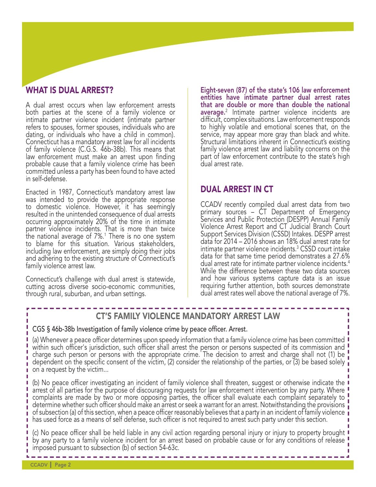# WHAT IS DUAL ARREST?

A dual arrest occurs when law enforcement arrests both parties at the scene of a family violence or intimate partner violence incident (intimate partner refers to spouses, former spouses, individuals who are dating, or individuals who have a child in common). Connecticut has a mandatory arrest law for all incidents of family violence (C.G.S. 46b-38b). This means that law enforcement must make an arrest upon finding probable cause that a family violence crime has been committed unless a party has been found to have acted in self-defense.

Enacted in 1987, Connecticut's mandatory arrest law was intended to provide the appropriate response to domestic violence. However, it has seemingly resulted in the unintended consequence of dual arrests occurring approximately 20% of the time in intimate partner violence incidents. That is more than twice the national average of  $7\%$ .<sup>1</sup> There is no one system to blame for this situation. Various stakeholders, including law enforcement, are simply doing their jobs and adhering to the existing structure of Connecticut's family violence arrest law.

Connecticut's challenge with dual arrest is statewide, cutting across diverse socio-economic communities, through rural, suburban, and urban settings.

Eight-seven (87) of the state's 106 law enforcement entities have intimate partner dual arrest rates that are double or more than double the national average.<sup>2</sup> Intimate partner violence incidents are difficult, complex situations. Law enforcement responds. to highly volatile and emotional scenes that, on the service, may appear more gray than black and white. Structural limitations inherent in Connecticut's existing family violence arrest law and liability concerns on the part of law enforcement contribute to the state's high dual arrest rate.

### DUAL ARREST IN CT

CCADV recently compiled dual arrest data from two primary sources – CT Department of Emergency Services and Public Protection (DESPP) Annual Family Violence Arrest Report and CT Judicial Branch Court Support Services Division (CSSD) Intakes. DESPP arrest data for 2014 – 2016 shows an 18% dual arrest rate for intimate partner violence incidents.3 CSSD court intake data for that same time period demonstrates a 27.6% dual arrest rate for intimate partner violence incidents.<sup>4</sup> While the difference between these two data sources and how various systems capture data is an issue requiring further attention, both sources demonstrate dual arrest rates well above the national average of 7%.

п

# CT'S FAMILY VIOLENCE MANDATORY ARREST LAW

#### CGS § 46b-38b Investigation of family violence crime by peace officer. Arrest.

(a) Whenever a peace officer determines upon speedy information that a family violence crime has been committed within such officer's jurisdiction, such officer shall arrest the person or persons suspected of its commission and charge such person or persons with the appropriate crime. The decision to arrest and charge shall not (1) be dependent on the specific consent of the victim, (2) consider the relationship of the parties, or (3) be based solely  $\frac{1}{1}$ on a request by the victim...

(b) No peace officer investigating an incident of family violence shall threaten, suggest or otherwise indicate the arrest of all parties for the purpose of discouraging requests for law enforcement intervention by any party. Where complaints are made by two or more opposing parties, the officer shall evaluate each complaint separately to determine whether such officer should make an arrest or seek a warrant for an arrest. Notwithstanding the provisions of subsection (a) of this section, when a peace officer reasonably believes that a party in an incident of family violence has used force as a means of self defense, such officer is not required to arrest such party under this section.

(c) No peace officer shall be held liable in any civil action regarding personal injury or injury to property brought by any party to a family violence incident for an arrest based on probable cause or for any conditions of release imposed pursuant to subsection (b) of section 54-63c.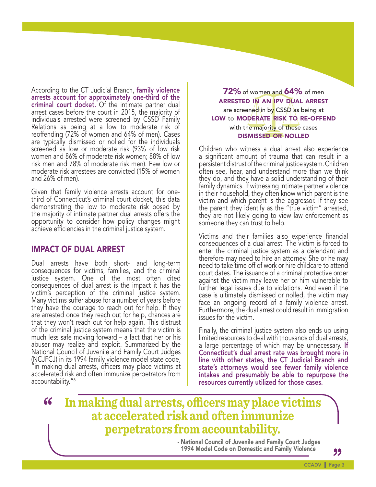According to the CT Judicial Branch, family violence arrests account for approximately one-third of the criminal court docket. Of the intimate partner dual arrest cases before the court in 2015, the majority of individuals arrested were screened by CSSD Family Relations as being at a low to moderate risk of reoffending (72% of women and 64% of men). Cases are typically dismissed or nolled for the individuals screened as low or moderate risk (93% of low risk women and 86% of moderate risk women; 88% of low risk men and 78% of moderate risk men). Few low or moderate risk arrestees are convicted (15% of women and 26% of men).

Given that family violence arrests account for onethird of Connecticut's criminal court docket, this data demonstrating the low to moderate risk posed by the majority of intimate partner dual arrests offers the opportunity to consider how policy changes might achieve efficiencies in the criminal justice system.

### IMPACT OF DUAL ARREST

Dual arrests have both short- and long-term consequences for victims, families, and the criminal justice system. One of the most often cited consequences of dual arrest is the impact it has the victim's perception of the criminal justice system. Many victims suffer abuse for a number of years before they have the courage to reach out for help. If they are arrested once they reach out for help, chances are that they won't reach out for help again. This distrust of the criminal justice system means that the victim is much less safe moving forward – a fact that her or his abuser may realize and exploit. Summarized by the National Council of Juvenile and Family Court Judges (NCJFCJ) in its 1994 family violence model state code, "in making dual arrests, officers may place victims at accelerated risk and often immunize perpetrators from accountability."<sup>6</sup>

**72%** of women and **64%** of men arrested in an ipv dual arrest are screened in by CSSD as being at LOW to MODERATE RISK TO RE-OFFEND with the majority of these cases dismissed or nolled

Children who witness a dual arrest also experience a significant amount of trauma that can result in a persistent distrust of the criminal justice system. Children often see, hear, and understand more than we think they do, and they have a solid understanding of their family dynamics. If witnessing intimate partner violence in their household, they often know which parent is the victim and which parent is the aggressor. If they see the parent they identify as the "true victim" arrested, they are not likely going to view law enforcement as someone they can trust to help.

Victims and their families also experience financial consequences of a dual arrest. The victim is forced to enter the criminal justice system as a defendant and therefore may need to hire an attorney. She or he may need to take time off of work or hire childcare to attend court dates. The issuance of a criminal protective order against the victim may leave her or him vulnerable to further legal issues due to violations. And even if the case is ultimately dismissed or nolled, the victim may face an ongoing record of a family violence arrest. Furthermore, the dual arrest could result in immigration issues for the victim.

Finally, the criminal justice system also ends up using limited resources to deal with thousands of dual arrests, a large percentage of which may be unnecessary. If Connecticut's dual arrest rate was brought more in line with other states, the CT Judicial Branch and state's attorneys would see fewer family violence intakes and presumably be able to repurpose the resources currently utilized for those cases.

# **" In making dual arrests, officers may place victims at accelerated risk and often immunize perpetrators from accountability.**

- National Council of Juvenile and Family Court Judges 1994 Model Code on Domestic and Family Violence

**"**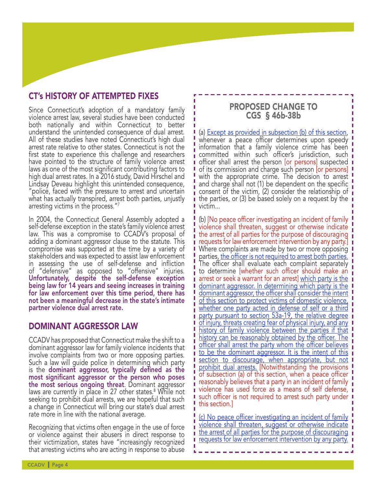# CT's HISTORY OF ATTEMPTED FIXES

Since Connecticut's adoption of a mandatory family violence arrest law, several studies have been conducted both nationally and within Connecticut to better understand the unintended consequence of dual arrest. All of these studies have noted Connecticut's high dual arrest rate relative to other states. Connecticut is not the first state to experience this challenge and researchers have pointed to the structure of family violence arrest laws as one of the most significant contributing factors to high dual arrest rates. In a 2016 study, David Hirschel and Lindsay Deveau highlight this unintended consequence, "police, faced with the pressure to arrest and uncertain what has actually transpired, arrest both parties, unjustly arresting victims in the process."7

In 2004, the Connecticut General Assembly adopted a self-defense exception in the state's family violence arrest law. This was a compromise to CCADV's proposal of adding a dominant aggressor clause to the statute. This compromise was supported at the time by a variety of stakeholders and was expected to assist law enforcement in assessing the use of self-defense and infliction of "defensive" as opposed to "offensive" injuries. Unfortunately, despite the self-defense exception being law for 14 years and seeing increases in training for law enforcement over this time period, there has not been a meaningful decrease in the state's intimate partner violence dual arrest rate.

#### DOMINANT AGGRESSOR LAW

CCADV has proposed that Connecticut make the shift to a dominant aggressor law for family violence incidents that involve complaints from two or more opposing parties. Such a law will guide police in determining which party is the dominant aggressor, typically defined as the most significant aggressor or the person who poses **the most serious ongoing threat**. Dominant aggressor<br>laws are currently in place in 27 other states.<sup>8</sup> While not seeking to prohibit dual arrests, we are hopeful that such a change in Connecticut will bring our state's dual arrest rate more in line with the national average.

Recognizing that victims often engage in the use of force or violence against their abusers in direct response to their victimization, states have "increasingly recognized that arresting victims who are acting in response to abuse

#### PROPOSED CHANGE TO CGS § 46b-38b

(a) **Except as provided in subsection (b) of this section,** whenever a peace officer determines upon speedy information that a family violence crime has been committed within such officer's jurisdiction, such i<br>I officer shall arrest the person [or persons] suspected I of its commission and charge such person [or persons] I with the appropriate crime. The decision to arrest [ and charge shall not (1) be dependent on the specific consent of the victim, (2) consider the relationship of  $\mathbf{i}$ **t** the parties, or (3) be based solely on a request by the **I** victim...

(b) [No peace officer investigating an incident of family violence shall threaten, suggest or otherwise indicate the arrest of all parties for the purpose of discouraging  $\overline{\phantom{a}}$ requests for law enforcement intervention by any party. Where complaints are made by two or more opposing **I** parties, the officer is not required to arrest both parties. The officer shall evaluate each complaint separately. to determine [whether such officer should make an **i** arrest or seek a warrant for an arrest] which party is the **dominant aggressor.** In determining which party is the dominant aggressor, the officer shall consider the intent of this section to protect victims of domestic violence, whether one party acted in defense of self or a third party pursuant to section 53a-19, the relative degree of injury, threats creating fear of physical injury, and any  $\blacksquare$ history of family violence between the parties if that history can be reasonably obtained by the officer. The officer shall arrest the party whom the officer believes to be the dominant aggressor. It is the intent of this section to discourage, when appropriate, but not I prohibit dual arrests. [Notwithstanding the provisions I of subsection (a) of this section, when a peace officer reasonably believes that a party in an incident of family **i** violence has used force as a means of self defense, such officer is not required to arrest such party under  $\blacksquare$ this section.]

(c) No peace officer investigating an incident of family violence shall threaten, suggest or otherwise indicate the arrest of all parties for the purpose of discouraging **i requests for law enforcement intervention by any party. I**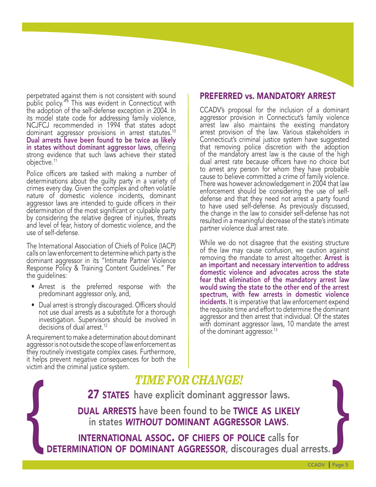perpetrated against them is not consistent with sound public policy."9 This was evident in Connecticut with the adoption of the self-defense exception in 2004. In its model state code for addressing family violence, NCJFCJ recommended in 1994 that states adopt dominant aggressor provisions in arrest statutes.<sup>10</sup> Dual arrests have been found to be twice as likely in states without dominant aggressor laws, offering strong evidence that such laws achieve their stated objective.11

Police officers are tasked with making a number of determinations about the guilty party in a variety of crimes every day. Given the complex and often volatile nature of domestic violence incidents, dominant aggressor laws are intended to guide officers in their determination of the most significant or culpable party by considering the relative degree of injuries, threats and level of fear, history of domestic violence, and the use of self-defense.

The International Association of Chiefs of Police (IACP) calls on law enforcement to determine which party is the dominant aggressor in its "Intimate Partner Violence Response Policy & Training Content Guidelines." Per the guidelines:

- Arrest is the preferred response with the predominant aggressor only, and,
- Dual arrest is strongly discouraged. Officers should not use dual arrests as a substitute for a thorough investigation. Supervisors should be involved in decisions of dual arrest.<sup>12</sup>

A requirement to make a determination about dominant aggressor is not outside the scope of law enforcement as they routinely investigate complex cases. Furthermore, it helps prevent negative consequences for both the victim and the criminal justice system.

## PREFERRED vs. MANDATORY ARREST

CCADV's proposal for the inclusion of a dominant aggressor provision in Connecticut's family violence arrest law also maintains the existing mandatory arrest provision of the law. Various stakeholders in Connecticut's criminal justice system have suggested that removing police discretion with the adoption of the mandatory arrest law is the cause of the high dual arrest rate because officers have no choice but to arrest any person for whom they have probable cause to believe committed a crime of family violence. There was however acknowledgement in 2004 that law enforcement should be considering the use of selfdefense and that they need not arrest a party found to have used self-defense. As previously discussed, the change in the law to consider self-defense has not resulted in a meaningful decrease of the state's intimate partner violence dual arrest rate.

While we do not disagree that the existing structure of the law may cause confusion, we caution against removing the mandate to arrest altogether. **Arrest is** an important and necessary intervention to address domestic violence and advocates across the state fear that elimination of the mandatory arrest law would swing the state to the other end of the arrest spectrum, with few arrests in domestic violence incidents. It is imperative that law enforcement expend the requisite time and effort to determine the dominant aggressor and then arrest that individual. Of the states with dominant aggressor laws, 10 mandate the arrest of the dominant aggressor.<sup>13</sup>

# *TIME FOR CHANGE!*

DUAL ARRESTS have been found to be TWICE AS LIKELY in states *without* dominant aggressor laws.

**EXECUTE:**<br> **A 27 STATES** have explicit dominant aggressor laws.<br>
DUAL ARRESTS have been found to be TWICE AS LIKELY<br>
in states WITHOUT DOMINANT AGGRESSOR LAWS.<br>
INTERNATIONAL ASSOC. OF CHIEFS OF POLICE calls for<br>
DETERMIN international assoc. of chiefs of police calls for

CCADV | Page 5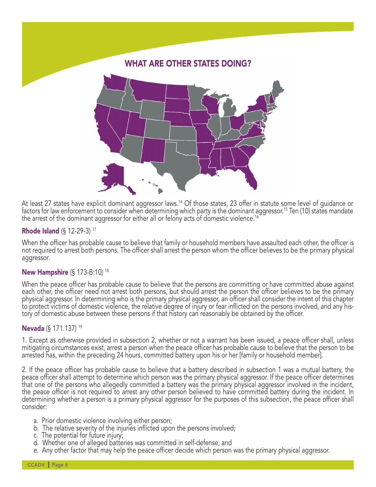

At least 27 states have explicit dominant aggressor laws.<sup>14</sup> Of those states, 23 offer in statute some level of guidance or factors for law enforcement to consider when determining which party is the dominant aggressor.<sup>1</sup> the arrest of the dominant aggressor for either all or felony acts of domestic violence.<sup>16</sup>

#### Rhode Island (§ 12-29-3) 17

When the officer has probable cause to believe that family or household members have assaulted each other, the officer is not required to arrest both persons. The officer shall arrest the person whom the officer believes to be the primary physical aggressor.

#### New Hampshire (§ 173-B:10)<sup>18</sup>

When the peace officer has probable cause to believe that the persons are committing or have committed abuse against each other, the officer need not arrest both persons, but should arrest the person the officer believes to be the primary physical aggressor. In determining who is the primary physical aggressor, an officer shall consider the intent of this chapter to protect victims of domestic violence, the relative degree of injury or fear inflicted on the persons involved, and any his tory of domestic abuse between these persons if that history can reasonably be obtained by the officer.

#### Nevada (§ 171.137) 19

1. Except as otherwise provided in subsection 2, whether or not a warrant has been issued, a peace officer shall, unless mitigating circumstances exist, arrest a person when the peace officer has probable cause to believe that the person to be arrested has, within the preceding 24 hours, committed battery upon his or her [family or household member].

2. If the peace officer has probable cause to believe that a battery described in subsection 1 was a mutual battery, the peace officer shall attempt to determine which person was the primary physical aggressor. If the peace officer determines that one of the persons who allegedly committed a battery was the primary physical aggressor involved in the incident, the peace officer is not required to arrest any other person believed to have committed battery during the incident. In determining whether a person is a primary physical aggressor for the purposes of this subsection, the peace officer shall consider:

- a. Prior domestic violence involving either person;
- b. The relative severity of the injuries inflicted upon the persons involved;
- c. The potential for future injury;
- d. Whether one of alleged batteries was committed in self-defense; and
- e. Any other factor that may help the peace officer decide which person was the primary physical aggressor.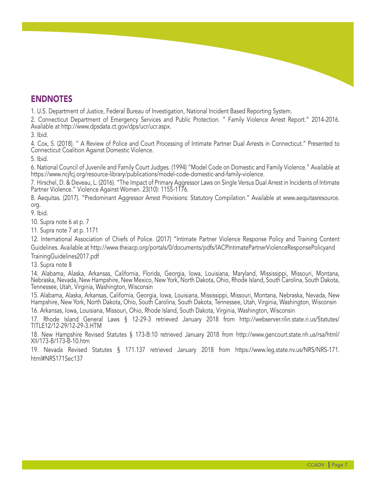# ENDNOTES

1. U.S. Department of Justice, Federal Bureau of Investigation, National Incident Based Reporting System.

2. Connecticut Department of Emergency Services and Public Protection. " Family Violence Arrest Report." 2014-2016. Available at http://www.dpsdata.ct.gov/dps/ucr/ucr.aspx.

3. Ibid.

4. Cox, S. (2018). " A Review of Police and Court Processing of Intimate Partner Dual Arrests in Connecticut." Presented to Connecticut Coalition Against Domestic Violence.

5. Ibid.

6. National Council of Juvenile and Family Court Judges. (1994) "Model Code on Domestic and Family Violence." Available at https://www.ncjfcj.org/resource-library/publications/model-code-domestic-and-family-violence.

7. Hirschel, D. & Deveau, L. (2016). "The Impact of Primary Aggressor Laws on Single Versus Dual Arrest in Incidents of Intimate Partner Violence." Violence Against Women. 23(10): 1155-1176.

8. Aequitas. (2017). "Predominant Aggressor Arrest Provisions: Statutory Compilation." Available at www.aequitasresource. org.

9. Ibid.

10. Supra note 6 at p. 7

11. Supra note 7 at p. 1171

12. International Association of Chiefs of Police. (2017) "Intimate Partner Violence Response Policy and Training Content Guidelines. Available at http://www.theiacp.org/portals/0/documents/pdfs/IACPIntimatePartnerViolenceResponsePolicyand TrainingGuidelines2017.pdf

13. Supra note 8

14. Alabama, Alaska, Arkansas, California, Florida, Georgia, Iowa, Louisiana, Maryland, Mississippi, Missouri, Montana, Nebraska, Nevada, New Hampshire, New Mexico, New York, North Dakota, Ohio, Rhode Island, South Carolina, South Dakota, Tennessee, Utah, Virginia, Washington, Wisconsin

15. Alabama, Alaska, Arkansas, California, Georgia, Iowa, Louisiana, Mississippi, Missouri, Montana, Nebraska, Nevada, New Hampshire, New York, North Dakota, Ohio, South Carolina, South Dakota, Tennessee, Utah, Virginia, Washington, Wisconsin 16. Arkansas, Iowa, Louisiana, Missouri, Ohio, Rhode Island, South Dakota, Virginia, Washington, Wisconsin

17. Rhode Island General Laws § 12-29-3 retrieved January 2018 from http://webserver.rilin.state.ri.us/Statutes/ TITLE12/12-29/12-29-3.HTM

18. New Hampshire Revised Statutes § 173-B:10 retrieved January 2018 from http://www.gencourt.state.nh.us/rsa/html/ XII/173-B/173-B-10.htm

19. Nevada Revised Statutes § 171.137 retrieved January 2018 from https://www.leg.state.nv.us/NRS/NRS-171. html#NRS171Sec137